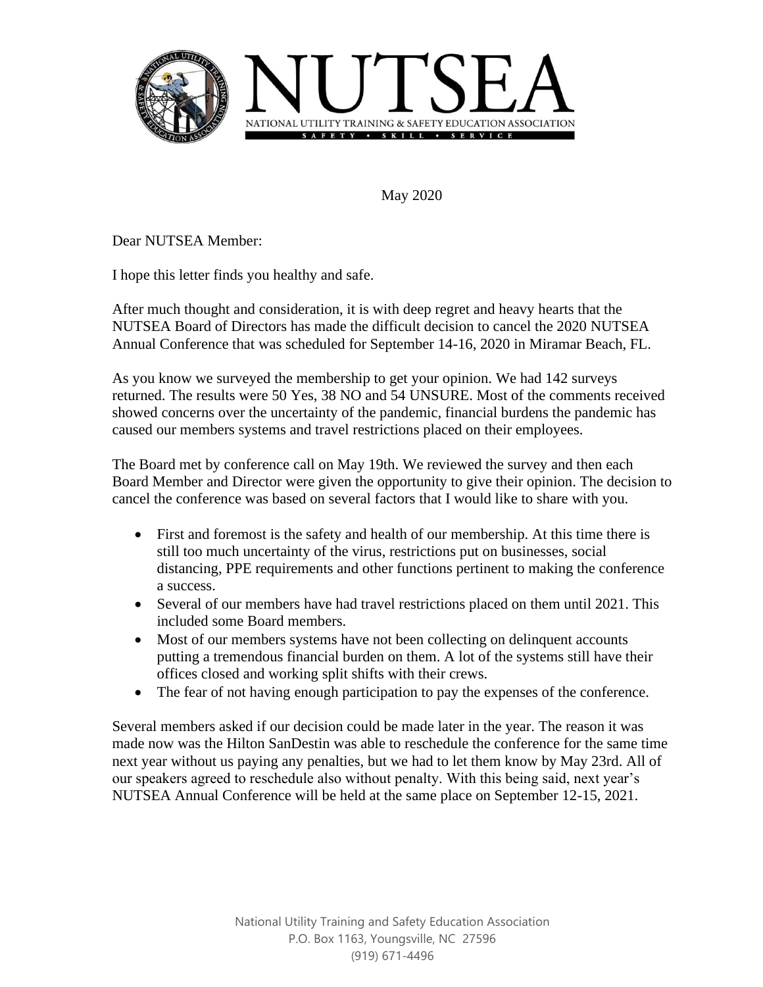

May 2020

Dear NUTSEA Member:

I hope this letter finds you healthy and safe.

After much thought and consideration, it is with deep regret and heavy hearts that the NUTSEA Board of Directors has made the difficult decision to cancel the 2020 NUTSEA Annual Conference that was scheduled for September 14-16, 2020 in Miramar Beach, FL.

As you know we surveyed the membership to get your opinion. We had 142 surveys returned. The results were 50 Yes, 38 NO and 54 UNSURE. Most of the comments received showed concerns over the uncertainty of the pandemic, financial burdens the pandemic has caused our members systems and travel restrictions placed on their employees.

The Board met by conference call on May 19th. We reviewed the survey and then each Board Member and Director were given the opportunity to give their opinion. The decision to cancel the conference was based on several factors that I would like to share with you.

- First and foremost is the safety and health of our membership. At this time there is still too much uncertainty of the virus, restrictions put on businesses, social distancing, PPE requirements and other functions pertinent to making the conference a success.
- Several of our members have had travel restrictions placed on them until 2021. This included some Board members.
- Most of our members systems have not been collecting on delinquent accounts putting a tremendous financial burden on them. A lot of the systems still have their offices closed and working split shifts with their crews.
- The fear of not having enough participation to pay the expenses of the conference.

Several members asked if our decision could be made later in the year. The reason it was made now was the Hilton SanDestin was able to reschedule the conference for the same time next year without us paying any penalties, but we had to let them know by May 23rd. All of our speakers agreed to reschedule also without penalty. With this being said, next year's NUTSEA Annual Conference will be held at the same place on September 12-15, 2021.